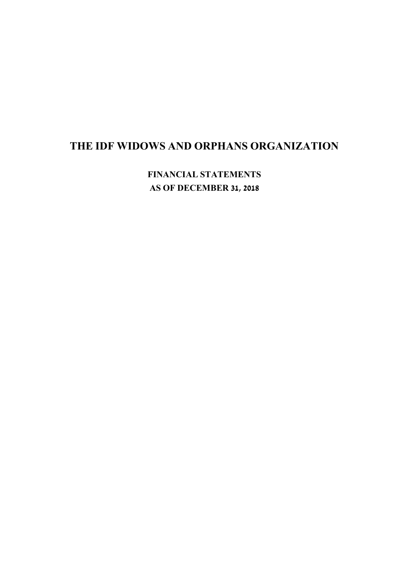**FINANCIAL STATEMENTS AS OF DECEMBER 31, 2018**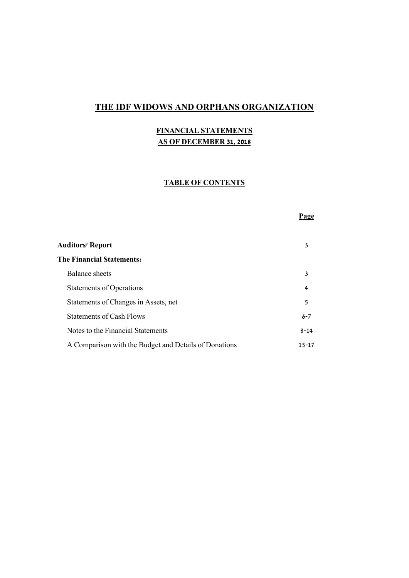## **FINANCIAL STATEMENTS AS OF DECEMBER 31, 2018**

### **TABLE OF CONTENTS**

#### **Page**

| 3         |
|-----------|
| 4         |
| 5         |
| $6 - 7$   |
| $8 - 14$  |
| $15 - 17$ |
|           |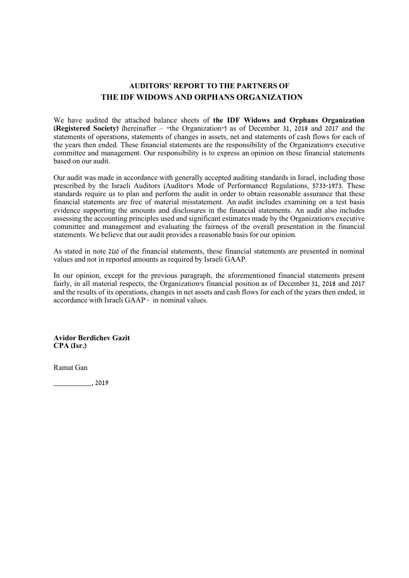## **AUDITORS' REPORT TO THE PARTNERS OF THE IDF WIDOWS AND ORPHANS ORGANIZATION**

We have audited the attached balance sheets of **the IDF Widows and Orphans Organization (Registered Society)** (hereinafter – "the Organization") as of December 31, 2018 and 2017 and the statements of operations, statements of changes in assets, net and statements of cash flows for each of the years then ended. These financial statements are the responsibility of the Organization's executive committee and management. Our responsibility is to express an opinion on these financial statements based on our audit.

Our audit was made in accordance with generally accepted auditing standards in Israel, including those prescribed by the Israeli Auditors (Auditor's Mode of Performance) Regulations, 5733-1973. These standards require us to plan and perform the audit in order to obtain reasonable assurance that these financial statements are free of material misstatement. An audit includes examining on a test basis evidence supporting the amounts and disclosures in the financial statements. An audit also includes assessing the accounting principles used and significant estimates made by the Organization's executive committee and management and evaluating the fairness of the overall presentation in the financial statements. We believe that our audit provides a reasonable basis for our opinion.

As stated in note 2(a) of the financial statements, these financial statements are presented in nominal values and not in reported amounts as required by Israeli GAAP.

In our opinion, except for the previous paragraph, the aforementioned financial statements present fairly, in all material respects, the Organization's financial position as of December 31, 2018 and 2017 and the results of its operations, changes in net assets and cash flows for each of the years then ended, in accordance with Israeli GAAP - in nominal values.

**Avidor Berdichev Gazit CPA (Isr.)**

Ramat Gan

\_\_\_\_\_\_\_\_\_\_, 2019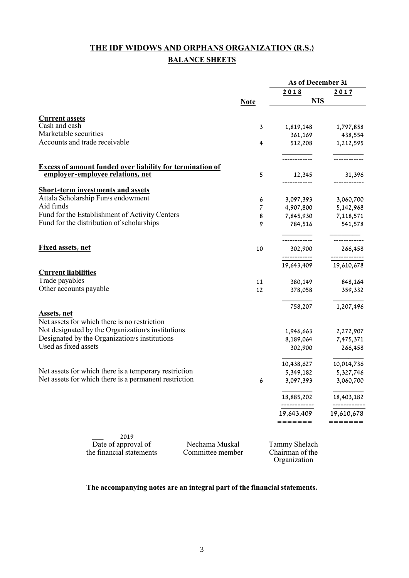# **THE IDF WIDOWS AND ORPHANS ORGANIZATION (R.S.) BALANCE SHEETS**

|                                                                                               |                     | As of December 31      |                        |
|-----------------------------------------------------------------------------------------------|---------------------|------------------------|------------------------|
|                                                                                               |                     | 2018                   | 2017                   |
|                                                                                               | <b>Note</b>         | <b>NIS</b>             |                        |
| <b>Current assets</b>                                                                         |                     |                        |                        |
| Cash and cash                                                                                 | 3                   | 1,819,148              | 1,797,858              |
| Marketable securities                                                                         |                     | 361,169                | 438,554                |
| Accounts and trade receivable                                                                 | 4                   | 512,208                | 1,212,595              |
|                                                                                               |                     |                        |                        |
| Excess of amount funded over liability for termination of<br>employer-employee relations, net | 5                   | 12,345                 | 31,396                 |
|                                                                                               |                     | ------------           |                        |
| <b>Short-term investments and assets</b><br>Attala Scholarship Fun's endowment                |                     |                        |                        |
| Aid funds                                                                                     | 6<br>$\overline{7}$ | 3,097,393              | 3,060,700              |
| Fund for the Establishment of Activity Centers                                                | 8                   | 4,907,800<br>7,845,930 | 5,142,968<br>7,118,571 |
| Fund for the distribution of scholarships                                                     | 9                   | 784,516                | 541,578                |
|                                                                                               |                     | -------------          | ------------           |
| <b>Fixed assets, net</b>                                                                      | 10                  | 302,900                | 266,458                |
|                                                                                               |                     | ------------           | -------------          |
| <b>Current liabilities</b>                                                                    |                     | 19,643,409             | 19,610,678             |
| Trade payables                                                                                | 11                  | 380,149                | 848,164                |
| Other accounts payable                                                                        | 12                  | 378,058                | 359,332                |
|                                                                                               |                     | 758,207                | 1,207,496              |
| <b>Assets</b> , net                                                                           |                     |                        |                        |
| Net assets for which there is no restriction                                                  |                     |                        |                        |
| Not designated by the Organization's institutions                                             |                     | 1,946,663              | 2,272,907              |
| Designated by the Organization's institutions                                                 |                     | 8,189,064              | 7,475,371              |
| Used as fixed assets                                                                          |                     | 302,900                | 266,458                |
|                                                                                               |                     | 10,438,627             | 10,014,736             |
| Net assets for which there is a temporary restriction                                         |                     | 5,349,182              | 5,327,746              |
| Net assets for which there is a permanent restriction                                         | 6                   | 3,097,393              | 3,060,700              |
|                                                                                               |                     | 18,885,202             | 18,403,182             |
|                                                                                               |                     | -------<br>19,643,409  | 19,610,678             |
|                                                                                               |                     | ====:                  |                        |
| 2019                                                                                          |                     |                        |                        |
| Date of approval of<br>Nechama Muskal                                                         |                     | Tammy Shelach          |                        |
| the financial statements<br>Committee member                                                  |                     | Chairman of the        |                        |
|                                                                                               |                     | Organization           |                        |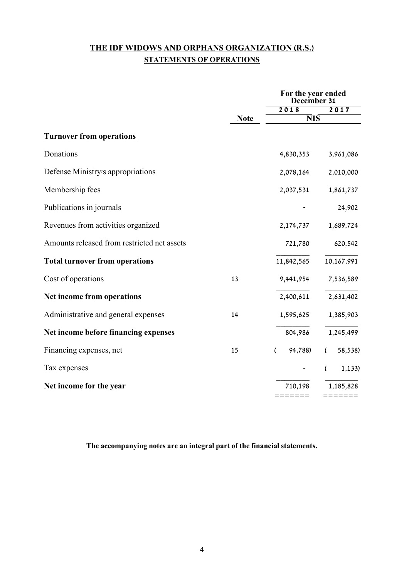# **THE IDF WIDOWS AND ORPHANS ORGANIZATION (R.S.) STATEMENTS OF OPERATIONS**

|                                             |             | For the year ended<br>December 31 |                     |
|---------------------------------------------|-------------|-----------------------------------|---------------------|
|                                             |             | 2018                              | 2017                |
|                                             | <b>Note</b> | $\overline{\text{NIS}}$           |                     |
| <b>Turnover from operations</b>             |             |                                   |                     |
| Donations                                   |             | 4,830,353                         | 3,961,086           |
| Defense Ministry's appropriations           |             | 2,078,164                         | 2,010,000           |
| Membership fees                             |             | 2,037,531                         | 1,861,737           |
| Publications in journals                    |             |                                   | 24,902              |
| Revenues from activities organized          |             | 2,174,737                         | 1,689,724           |
| Amounts released from restricted net assets |             | 721,780                           | 620,542             |
| <b>Total turnover from operations</b>       |             | 11,842,565                        | 10,167,991          |
| Cost of operations                          | 13          | 9,441,954                         | 7,536,589           |
| Net income from operations                  |             | 2,400,611                         | 2,631,402           |
| Administrative and general expenses         | 14          | 1,595,625                         | 1,385,903           |
| Net income before financing expenses        |             | 804,986                           | 1,245,499           |
| Financing expenses, net                     | 15          | 94,788)<br>- 1                    | 58,538)<br>$\left($ |
| Tax expenses                                |             | $\sim$                            | 1,133)<br>$\left($  |
| Net income for the year                     |             | 710,198                           | 1,185,828           |
|                                             |             | =======                           | =======             |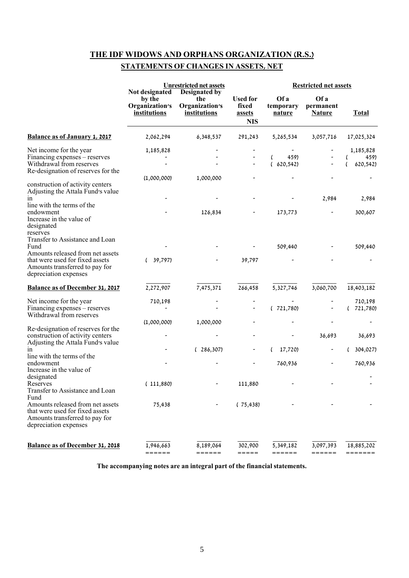## **STATEMENTS OF CHANGES IN ASSETS, NET**

|                                                                                                                                                                                       |                                                                   | <b>Unrestricted net assets</b>                         |                                                         | <b>Restricted net assets</b>           |                                    |                                                   |
|---------------------------------------------------------------------------------------------------------------------------------------------------------------------------------------|-------------------------------------------------------------------|--------------------------------------------------------|---------------------------------------------------------|----------------------------------------|------------------------------------|---------------------------------------------------|
|                                                                                                                                                                                       | Not designated<br>by the<br>Organization's<br><b>institutions</b> | Designated by<br>the<br>Organization's<br>institutions | <b>Used for</b><br>fixed<br><u>assets</u><br><b>NIS</b> | Of a<br>temporary<br>nature            | Of a<br>permanent<br><b>Nature</b> | <b>Total</b>                                      |
| <b>Balance as of January 1, 2017</b>                                                                                                                                                  | 2,062,294                                                         | 6,348,537                                              | 291,243                                                 | 5,265,534                              | 3,057,716                          | 17,025,324                                        |
| Net income for the year<br>Financing expenses – reserves<br>Withdrawal from reserves<br>Re-designation of reserves for the                                                            | 1,185,828<br>(1,000,000)                                          | 1,000,000                                              | -<br>$\overline{\phantom{a}}$                           | 459)<br>$\overline{(\ }$<br>(620, 542) |                                    | 1,185,828<br>$\overline{(\ }$<br>459)<br>620,542) |
| construction of activity centers<br>Adjusting the Attala Fund's value<br>in<br>line with the terms of the<br>endowment<br>Increase in the value of<br>designated                      |                                                                   | 126,834                                                |                                                         | 173,773                                | 2,984                              | 2,984<br>300,607                                  |
| reserves<br>Transfer to Assistance and Loan<br>Fund<br>Amounts released from net assets<br>that were used for fixed assets<br>Amounts transferred to pay for<br>depreciation expenses | 39,797)<br>(                                                      |                                                        | 39,797                                                  | 509,440                                |                                    | 509,440                                           |
| Balance as of December 31, 2017                                                                                                                                                       | 2,272,907                                                         | 7,475,371                                              | 266,458                                                 | 5,327,746                              | 3,060,700                          | 18,403,182                                        |
| Net income for the year<br>Financing expenses – reserves<br>Withdrawal from reserves                                                                                                  | 710,198                                                           |                                                        | $\overline{\phantom{a}}$                                | (721,780)                              |                                    | 710,198<br>721,780)                               |
| Re-designation of reserves for the<br>construction of activity centers                                                                                                                | (1,000,000)                                                       | 1,000,000                                              |                                                         |                                        | 36,693                             | 36,693                                            |
| Adjusting the Attala Fund's value<br>in<br>line with the terms of the                                                                                                                 |                                                                   | (286, 307)                                             |                                                         | 17,720)                                |                                    | 304,027)                                          |
| endowment<br>Increase in the value of<br>designated                                                                                                                                   |                                                                   |                                                        |                                                         | 760,936                                |                                    | 760,936                                           |
| Reserves<br>Transfer to Assistance and Loan                                                                                                                                           | (111,880)                                                         |                                                        | 111,880                                                 |                                        |                                    |                                                   |
| Fund<br>Amounts released from net assets<br>that were used for fixed assets<br>Amounts transferred to pay for<br>depreciation expenses                                                | 75,438                                                            |                                                        | (75, 438)                                               |                                        |                                    |                                                   |
| Balance as of December 31, 2018                                                                                                                                                       | 1,946,663<br>======                                               | 8,189,064<br>======                                    | 302,900<br>=====                                        | 5,349,182<br>======                    | 3,097,393<br>======                | 18,885,202<br>=======                             |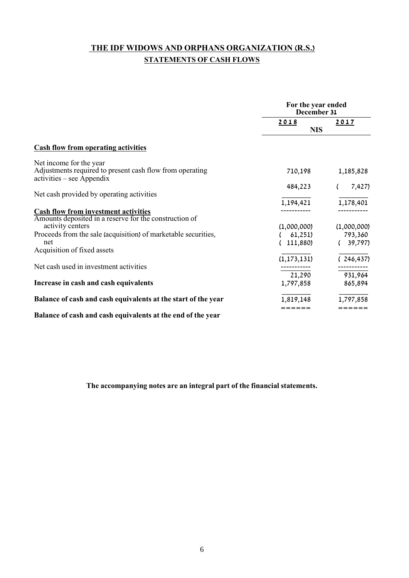# **THE IDF WIDOWS AND ORPHANS ORGANIZATION (R.S.) STATEMENTS OF CASH FLOWS**

|                                                                                                | For the year ended<br>December 31 |             |
|------------------------------------------------------------------------------------------------|-----------------------------------|-------------|
|                                                                                                | 2018                              | 2017        |
|                                                                                                | <b>NIS</b>                        |             |
| <b>Cash flow from operating activities</b>                                                     |                                   |             |
| Net income for the year                                                                        |                                   |             |
| Adjustments required to present cash flow from operating<br>$\text{activities}$ – see Appendix | 710,198                           | 1,185,828   |
| Net cash provided by operating activities                                                      | 484,223                           | 7,427)      |
|                                                                                                | 1,194,421                         | 1,178,401   |
| <b>Cash flow from investment activities</b>                                                    |                                   |             |
| Amounts deposited in a reserve for the construction of                                         |                                   |             |
| activity centers                                                                               | (1,000,000)                       | (1,000,000) |
| Proceeds from the sale (acquisition) of marketable securities,                                 | 61,251)                           | 793,360     |
| net                                                                                            | 111,880)                          | 39,797)     |
| Acquisition of fixed assets                                                                    |                                   |             |
|                                                                                                | (1, 173, 131)                     | (246, 437)  |
| Net cash used in investment activities                                                         |                                   |             |
|                                                                                                | 21,290                            | 931,964     |
| Increase in cash and cash equivalents                                                          | 1,797,858                         | 865,894     |
| Balance of cash and cash equivalents at the start of the year                                  | 1,819,148                         | 1,797,858   |
| Balance of cash and cash equivalents at the end of the year                                    | ======                            |             |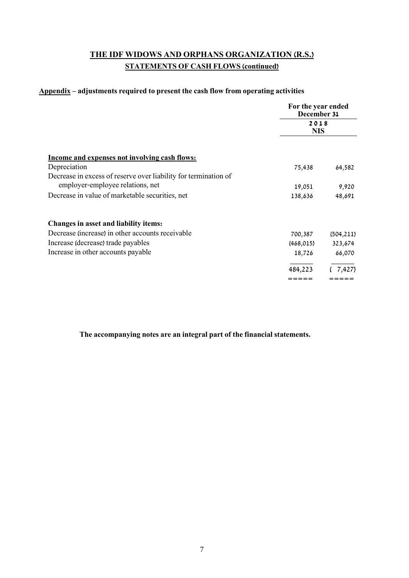# **THE IDF WIDOWS AND ORPHANS ORGANIZATION (R.S.) STATEMENTS OF CASH FLOWS (continued)**

#### **Appendix – adjustments required to present the cash flow from operating activities**

|                                                                 | For the year ended<br>December 31<br>2018<br><b>NIS</b> |            |
|-----------------------------------------------------------------|---------------------------------------------------------|------------|
|                                                                 |                                                         |            |
| <u>Income and expenses not involving cash flows:</u>            |                                                         |            |
| Depreciation                                                    | 75,438                                                  | 64,582     |
| Decrease in excess of reserve over liability for termination of |                                                         |            |
| employer-employee relations, net                                | 19,051                                                  | 9,920      |
| Decrease in value of marketable securities, net                 | 138,636                                                 | 48,691     |
| <b>Changes in asset and liability items:</b>                    |                                                         |            |
| Decrease (increase) in other accounts receivable                | 700,387                                                 | (504, 211) |
| Increase (decrease) trade payables                              | (468, 015)                                              | 323,674    |
| Increase in other accounts payable                              | 18,726                                                  | 66,070     |
|                                                                 | 484,223                                                 | 7,427)     |
|                                                                 |                                                         |            |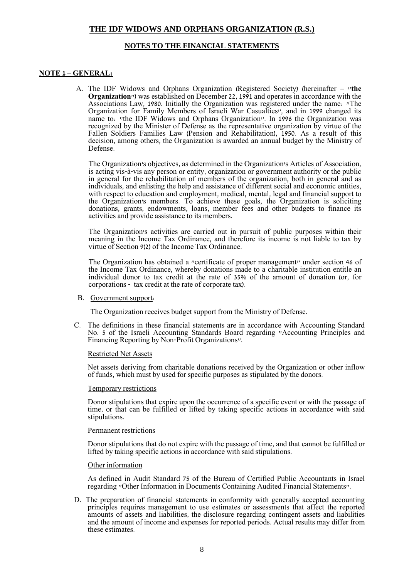#### **NOTES TO THE FINANCIAL STATEMENTS**

#### **NOTE 1 – GENERAL:**

A. The IDF Widows and Orphans Organization (Registered Society) (hereinafter – "**the Organization**") was established on December 22, 1991 and operates in accordance with the Associations Law, 1980. Initially the Organization was registered under the name: "The Organization for Family Members of Israeli War Casualties", and in 1999 changed its name to: "the IDF Widows and Orphans Organization". In 1996 the Organization was recognized by the Minister of Defense as the representative organization by virtue of the Fallen Soldiers Families Law (Pension and Rehabilitation), 1950. As a result of this decision, among others, the Organization is awarded an annual budget by the Ministry of Defense.

The Organization's objectives, as determined in the Organization's Articles of Association, is acting vis-à-vis any person or entity, organization or government authority or the public in general for the rehabilitation of members of the organization, both in general and as individuals, and enlisting the help and assistance of different social and economic entities, with respect to education and employment, medical, mental, legal and financial support to the Organization's members. To achieve these goals, the Organization is soliciting donations, grants, endowments, loans, member fees and other budgets to finance its activities and provide assistance to its members.

The Organization's activities are carried out in pursuit of public purposes within their meaning in the Income Tax Ordinance, and therefore its income is not liable to tax by virtue of Section 9(2) of the Income Tax Ordinance.

The Organization has obtained a "certificate of proper management" under section 46 of the Income Tax Ordinance, whereby donations made to a charitable institution entitle an individual donor to tax credit at the rate of 35% of the amount of donation (or, for corporations - tax credit at the rate of corporate tax).

#### B. Government support:

The Organization receives budget support from the Ministry of Defense.

C. The definitions in these financial statements are in accordance with Accounting Standard No. 5 of the Israeli Accounting Standards Board regarding "Accounting Principles and Financing Reporting by Non-Profit Organizations".

#### Restricted Net Assets

Net assets deriving from charitable donations received by the Organization or other inflow of funds, which must by used for specific purposes as stipulated by the donors.

#### Temporary restrictions

Donor stipulations that expire upon the occurrence of a specific event or with the passage of time, or that can be fulfilled or lifted by taking specific actions in accordance with said stipulations.

#### Permanent restrictions

Donor stipulations that do not expire with the passage of time, and that cannot be fulfilled or lifted by taking specific actions in accordance with said stipulations.

#### Other information

As defined in Audit Standard 75 of the Bureau of Certified Public Accountants in Israel regarding "Other Information in Documents Containing Audited Financial Statements".

D. The preparation of financial statements in conformity with generally accepted accounting principles requires management to use estimates or assessments that affect the reported amounts of assets and liabilities, the disclosure regarding contingent assets and liabilities and the amount of income and expenses for reported periods. Actual results may differ from these estimates.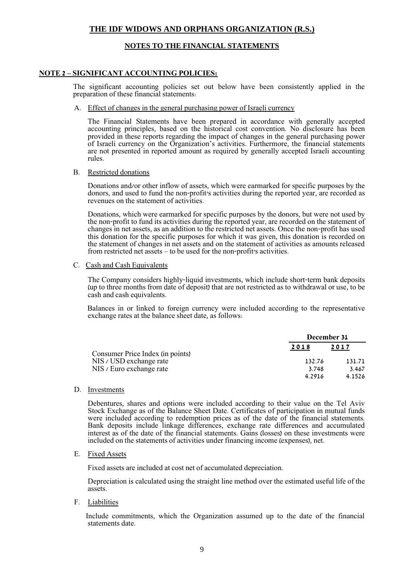#### **NOTES TO THE FINANCIAL STATEMENTS**

#### **NOTE 2 – SIGNIFICANT ACCOUNTING POLICIES:**

The significant accounting policies set out below have been consistently applied in the preparation of these financial statements:

A. Effect of changes in the general purchasing power of Israeli currency

The Financial Statements have been prepared in accordance with generally accepted accounting principles, based on the historical cost convention. No disclosure has been provided in these reports regarding the impact of changes in the general purchasing power of Israeli currency on the Organization's activities. Furthermore, the financial statements are not presented in reported amount as required by generally accepted Israeli accounting rules.

#### B. Restricted donations

Donations and/or other inflow of assets, which were earmarked for specific purposes by the donors, and used to fund the non-profit's activities during the reported year, are recorded as revenues on the statement of activities.

Donations, which were earmarked for specific purposes by the donors, but were not used by the non-profit to fund its activities during the reported year, are recorded on the statement of changes in net assets, as an addition to the restricted net assets. Once the non-profit has used this donation for the specific purposes for which it was given, this donation is recorded on the statement of changes in net assets and on the statement of activities as amounts released from restricted net assets – to be used for the non-profit's activities.

#### C. Cash and Cash Equivalents

The Company considers highly-liquid investments, which include short-term bank deposits (up to three months from date of deposit) that are not restricted as to withdrawal or use, to be cash and cash equivalents.

Balances in or linked to foreign currency were included according to the representative exchange rates at the balance sheet date, as follows:

|                                  | December 31 |        |
|----------------------------------|-------------|--------|
| Consumer Price Index (in points) | 2018        | 2017   |
| NIS / USD exchange rate          | 132.76      | 131.71 |
| NIS / Euro exchange rate         | 3.748       | 3.467  |
|                                  | 4.2916      | 4.1526 |

D. Investments

Debentures, shares and options were included according to their value on the Tel Aviv Stock Exchange as of the Balance Sheet Date. Certificates of participation in mutual funds were included according to redemption prices as of the date of the financial statements. Bank deposits include linkage differences, exchange rate differences and accumulated interest as of the date of the financial statements. Gains (losses) on these investments were included on the statements of activities under financing income (expenses), net.

E. Fixed Assets

Fixed assets are included at cost net of accumulated depreciation.

Depreciation is calculated using the straight line method over the estimated useful life of the assets.

F. Liabilities

Include commitments, which the Organization assumed up to the date of the financial statements date.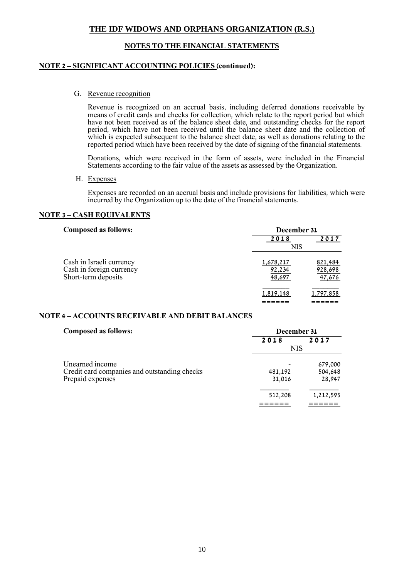#### **NOTES TO THE FINANCIAL STATEMENTS**

#### **NOTE 2 – SIGNIFICANT ACCOUNTING POLICIES (continued):**

G. Revenue recognition

Revenue is recognized on an accrual basis, including deferred donations receivable by means of credit cards and checks for collection, which relate to the report period but which have not been received as of the balance sheet date, and outstanding checks for the report period, which have not been received until the balance sheet date and the collection of which is expected subsequent to the balance sheet date, as well as donations relating to the reported period which have been received by the date of signing of the financial statements.

Donations, which were received in the form of assets, were included in the Financial Statements according to the fair value of the assets as assessed by the Organization.

H. Expenses

Expenses are recorded on an accrual basis and include provisions for liabilities, which were incurred by the Organization up to the date of the financial statements.

#### **NOTE 3 – CASH EQUIVALENTS**

| <b>Composed as follows:</b>                                                 | December 31                   |                              |
|-----------------------------------------------------------------------------|-------------------------------|------------------------------|
|                                                                             | 2018                          | 2017                         |
|                                                                             | <b>NIS</b>                    |                              |
| Cash in Israeli currency<br>Cash in foreign currency<br>Short-term deposits | 1,678,217<br>92,234<br>48,697 | 821,484<br>928,698<br>47,676 |
|                                                                             | 1,819,148                     | 1,797,858                    |

#### **NOTE 4 – ACCOUNTS RECEIVABLE AND DEBIT BALANCES**

| <b>Composed as follows:</b>                  | December 31 |           |
|----------------------------------------------|-------------|-----------|
|                                              | 2018        | 2017      |
|                                              | NIS         |           |
| Unearned income                              |             | 679,000   |
| Credit card companies and outstanding checks | 481,192     | 504,648   |
| Prepaid expenses                             | 31,016      | 28,947    |
|                                              | 512,208     | 1,212,595 |
|                                              |             |           |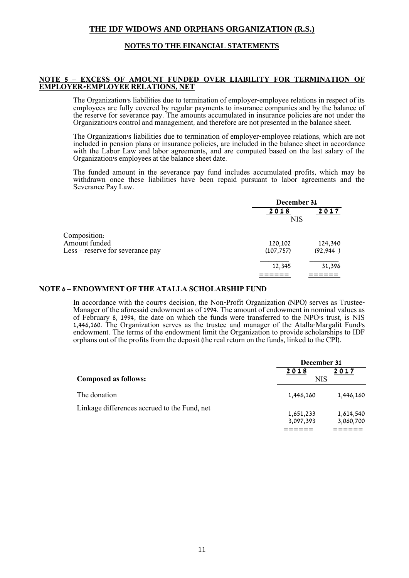#### **NOTES TO THE FINANCIAL STATEMENTS**

#### **NOTE 5 – EXCESS OF AMOUNT FUNDED OVER LIABILITY FOR TERMINATION OF EMPLOYER-EMPLOYEE RELATIONS, NET**

The Organization's liabilities due to termination of employer-employee relations in respect of its employees are fully covered by regular payments to insurance companies and by the balance of the reserve for severance pay. The amounts accumulated in insurance policies are not under the Organization's control and management, and therefore are not presented in the balance sheet.

The Organization's liabilities due to termination of employer-employee relations, which are not included in pension plans or insurance policies, are included in the balance sheet in accordance with the Labor Law and labor agreements, and are computed based on the last salary of the Organization's employees at the balance sheet date.

The funded amount in the severance pay fund includes accumulated profits, which may be withdrawn once these liabilities have been repaid pursuant to labor agreements and the Severance Pay Law.

|                                  | December 31 |           |
|----------------------------------|-------------|-----------|
|                                  | 2018        | 2017      |
|                                  | <b>NIS</b>  |           |
| Composition:                     |             |           |
| Amount funded                    | 120,102     | 124,340   |
| Less – reserve for severance pay | (107, 757)  | (92, 944) |
|                                  | 12,345      | 31,396    |
|                                  |             |           |

#### **NOTE 6 – ENDOWMENT OF THE ATALLA SCHOLARSHIP FUND**

In accordance with the court's decision, the Non-Profit Organization (NPO) serves as Trustee-Manager of the aforesaid endowment as of 1994. The amount of endowment in nominal values as of February 8, 1994, the date on which the funds were transferred to the NPO's trust, is NIS 1,446,160. The Organization serves as the trustee and manager of the Atalla-Margalit Fund's endowment. The terms of the endowment limit the Organization to provide scholarships to IDF orphans out of the profits from the deposit (the real return on the funds, linked to the CPI).

|                                              | December 31 |           |
|----------------------------------------------|-------------|-----------|
|                                              | 2018        | 2017      |
| <b>Composed as follows:</b>                  | <b>NIS</b>  |           |
| The donation                                 | 1,446,160   | 1,446,160 |
| Linkage differences accrued to the Fund, net |             |           |
|                                              | 1,651,233   | 1,614,540 |
|                                              | 3,097,393   | 3,060,700 |
|                                              |             |           |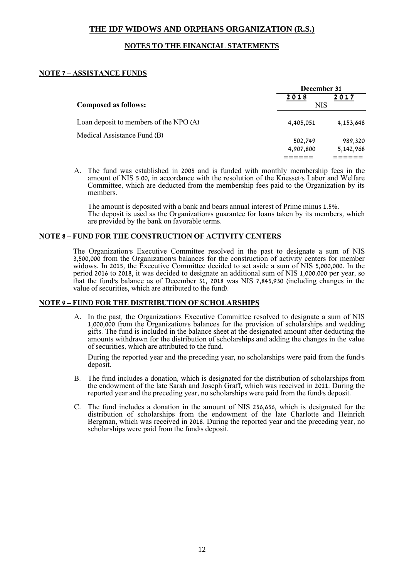#### **NOTES TO THE FINANCIAL STATEMENTS**

#### **NOTE 7 – ASSISTANCE FUNDS**

|                                        | December 31        |           |
|----------------------------------------|--------------------|-----------|
| <b>Composed as follows:</b>            | 2018<br><b>NIS</b> | 2017      |
| Loan deposit to members of the NPO (A) | 4,405,051          | 4,153,648 |
| Medical Assistance Fund (B)            | 502,749            | 989,320   |
|                                        | 4,907,800          | 5,142,968 |
|                                        |                    |           |

A. The fund was established in 2005 and is funded with monthly membership fees in the amount of NIS 5.00, in accordance with the resolution of the Knesset's Labor and Welfare Committee, which are deducted from the membership fees paid to the Organization by its members.

The amount is deposited with a bank and bears annual interest of Prime minus 1.5%. The deposit is used as the Organization's guarantee for loans taken by its members, which are provided by the bank on favorable terms.

#### **NOTE 8 – FUND FOR THE CONSTRUCTION OF ACTIVITY CENTERS**

The Organization's Executive Committee resolved in the past to designate a sum of NIS 3,500,000 from the Organization's balances for the construction of activity centers for member widows. In 2015, the Executive Committee decided to set aside a sum of NIS 5,000,000. In the period 2016 to 2018, it was decided to designate an additional sum of NIS 1,000,000 per year, so that the fund's balance as of December 31, 2018 was NIS 7,845,930 (including changes in the value of securities, which are attributed to the fund).

#### **NOTE 9 – FUND FOR THE DISTRIBUTION OF SCHOLARSHIPS**

A. In the past, the Organization's Executive Committee resolved to designate a sum of NIS 1,000,000 from the Organization's balances for the provision of scholarships and wedding gifts. The fund is included in the balance sheet at the designated amount after deducting the amounts withdrawn for the distribution of scholarships and adding the changes in the value of securities, which are attributed to the fund.

During the reported year and the preceding year, no scholarships were paid from the fund's deposit.

- B. The fund includes a donation, which is designated for the distribution of scholarships from the endowment of the late Sarah and Joseph Graff, which was received in 2011. During the reported year and the preceding year, no scholarships were paid from the fund's deposit.
- C. The fund includes a donation in the amount of NIS 256,656, which is designated for the distribution of scholarships from the endowment of the late Charlotte and Heinrich Bergman, which was received in 2018. During the reported year and the preceding year, no scholarships were paid from the fund's deposit.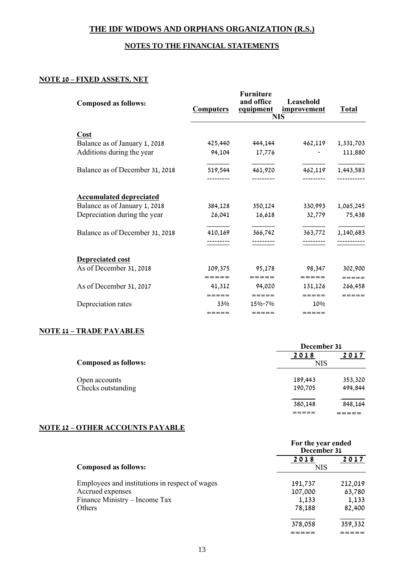#### **NOTES TO THE FINANCIAL STATEMENTS**

### **NOTE 10 – FIXED ASSETS, NET**

| <b>Composed as follows:</b>     | <b>Computers</b> | <b>Furniture</b><br>and office<br>equipment | Leasehold<br><u>improvement</u><br><b>NIS</b> | <b>Total</b> |
|---------------------------------|------------------|---------------------------------------------|-----------------------------------------------|--------------|
|                                 |                  |                                             |                                               |              |
| Cost                            |                  |                                             |                                               |              |
| Balance as of January 1, 2018   | 425,440          | 444,144                                     | 462,119                                       | 1,331,703    |
| Additions during the year       | 94,104           | 17,776                                      |                                               | 111,880      |
| Balance as of December 31, 2018 | 519,544          | 461,920                                     | 462,119                                       | 1,443,583    |
|                                 |                  |                                             |                                               |              |
| <b>Accumulated depreciated</b>  |                  |                                             |                                               |              |
| Balance as of January 1, 2018   | 384,128          | 350,124                                     | 330,993                                       | 1,065,245    |
| Depreciation during the year    | 26,041           | 16,618                                      | 32,779                                        | 75,438       |
| Balance as of December 31, 2018 | 410,169          | 366,742                                     | 363,772                                       | 1,140,683    |
|                                 |                  |                                             |                                               | -----------  |
| <b>Depreciated cost</b>         |                  |                                             |                                               |              |
| As of December 31, 2018         | 109,375          | 95,178                                      | 98,347                                        | 302,900      |
|                                 | =====            | $= = = = = =$                               | $=$ $=$ $=$ $=$                               | =====        |
| As of December 31, 2017         | 41,312           | 94,020                                      | 131,126                                       | 266,458      |
|                                 | =====            | $= = = = =$                                 | $=====$                                       | =====        |
| Depreciation rates              | 33%              | 15%-7%                                      | 10%                                           |              |
|                                 | $=$ = = = =      | $=====$                                     | $=$ = = = =                                   |              |

# **NOTE 11 – TRADE PAYABLES**

|                             | December 31 |         |  |
|-----------------------------|-------------|---------|--|
|                             | 2018        | 2017    |  |
| <b>Composed as follows:</b> | <b>NIS</b>  |         |  |
| Open accounts               | 189,443     | 353,320 |  |
| Checks outstanding          | 190,705     | 494,844 |  |
|                             | 380,148     | 848,164 |  |
|                             |             |         |  |

## **NOTE 12 – OTHER ACCOUNTS PAYABLE**

|                                                | For the year ended<br>December 31 |         |
|------------------------------------------------|-----------------------------------|---------|
|                                                | 2018                              | 2017    |
| <b>Composed as follows:</b>                    | <b>NIS</b>                        |         |
| Employees and institutions in respect of wages | 191,737                           | 212,019 |
| Accrued expenses                               | 107,000                           | 63,780  |
| Finance Ministry – Income Tax                  | 1,133                             | 1,133   |
| <b>Others</b>                                  | 78,188                            | 82,400  |
|                                                | 378,058                           | 359,332 |
|                                                |                                   |         |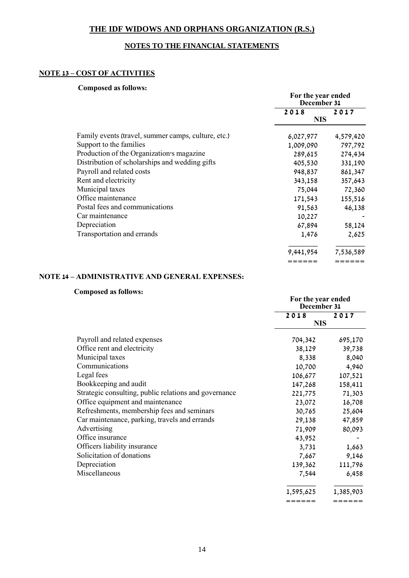### **NOTES TO THE FINANCIAL STATEMENTS**

#### **NOTE 13 – COST OF ACTIVITIES**

#### **Composed as follows:**

|                                                     | For the year ended<br>December 31 |           |
|-----------------------------------------------------|-----------------------------------|-----------|
|                                                     | 2018                              | 2017      |
|                                                     | <b>NIS</b>                        |           |
| Family events (travel, summer camps, culture, etc.) | 6,027,977                         | 4,579,420 |
| Support to the families                             | 1,009,090                         | 797,792   |
| Production of the Organization's magazine           | 289,615                           | 274,434   |
| Distribution of scholarships and wedding gifts      | 405,530                           | 331,190   |
| Payroll and related costs                           | 948,837                           | 861,347   |
| Rent and electricity                                | 343,158                           | 357,643   |
| Municipal taxes                                     | 75,044                            | 72,360    |
| Office maintenance                                  | 171,543                           | 155,516   |
| Postal fees and communications                      | 91,563                            | 46,138    |
| Car maintenance                                     | 10,227                            |           |
| Depreciation                                        | 67,894                            | 58,124    |
| Transportation and errands                          | 1,476                             | 2,625     |
|                                                     | 9,441,954                         | 7,536,589 |
|                                                     | ======                            | ======    |

#### **NOTE 14 – ADMINISTRATIVE AND GENERAL EXPENSES:**

#### **Composed as follows:**

| Composed as fonoms.                                   | For the year ended<br>December 31 |           |
|-------------------------------------------------------|-----------------------------------|-----------|
|                                                       | 2018                              | 2017      |
|                                                       | <b>NIS</b>                        |           |
| Payroll and related expenses                          | 704,342                           | 695,170   |
| Office rent and electricity                           | 38,129                            | 39,738    |
| Municipal taxes                                       | 8,338                             | 8,040     |
| Communications                                        | 10,700                            | 4,940     |
| Legal fees                                            | 106,677                           | 107,521   |
| Bookkeeping and audit                                 | 147,268                           | 158,411   |
| Strategic consulting, public relations and governance | 221,775                           | 71,303    |
| Office equipment and maintenance                      | 23,072                            | 16,708    |
| Refreshments, membership fees and seminars            | 30,765                            | 25,604    |
| Car maintenance, parking, travels and errands         | 29,138                            | 47,859    |
| Advertising                                           | 71,909                            | 80,093    |
| Office insurance                                      | 43,952                            |           |
| Officers liability insurance                          | 3,731                             | 1,663     |
| Solicitation of donations                             | 7,667                             | 9,146     |
| Depreciation                                          | 139,362                           | 111,796   |
| Miscellaneous                                         | 7,544                             | 6,458     |
|                                                       | 1,595,625                         | 1,385,903 |
|                                                       | ======                            | ======    |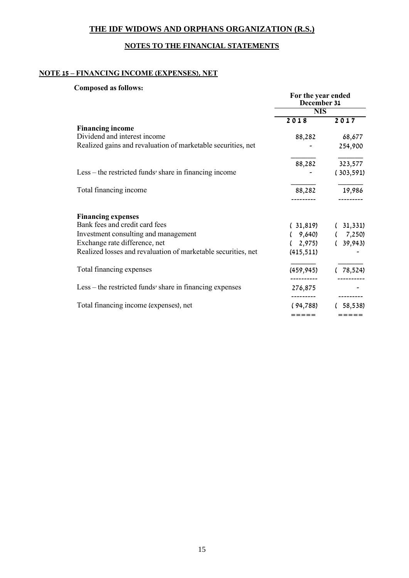## **NOTES TO THE FINANCIAL STATEMENTS**

## **NOTE 15 – FINANCING INCOME (EXPENSES), NET**

#### **Composed as follows:**

|                                                               | For the year ended<br>December 31<br><b>NIS</b> |            |
|---------------------------------------------------------------|-------------------------------------------------|------------|
|                                                               |                                                 |            |
|                                                               | 2018                                            | 2017       |
| <b>Financing income</b>                                       |                                                 |            |
| Dividend and interest income                                  | 88,282                                          | 68,677     |
| Realized gains and revaluation of marketable securities, net  |                                                 | 254,900    |
|                                                               | 88,282                                          | 323,577    |
| Less – the restricted funds' share in financing income        |                                                 | (303, 591) |
| Total financing income                                        | 88,282                                          | 19,986     |
| <b>Financing expenses</b>                                     |                                                 |            |
| Bank fees and credit card fees                                | (31, 819)                                       | 31,331)    |
| Investment consulting and management                          | 9,640)                                          | 7,250)     |
| Exchange rate difference, net                                 | 2,975                                           | 39,943)    |
| Realized losses and revaluation of marketable securities, net | (415, 511)                                      |            |
| Total financing expenses                                      | (459, 945)                                      | 78,524)    |
| Less – the restricted funds share in financing expenses       | ----------<br>276,875                           |            |
| Total financing income (expenses), net                        | . _ _ _ _ _ _ _ _<br>(94,788)                   | 58,538)    |
|                                                               | =====                                           | =====      |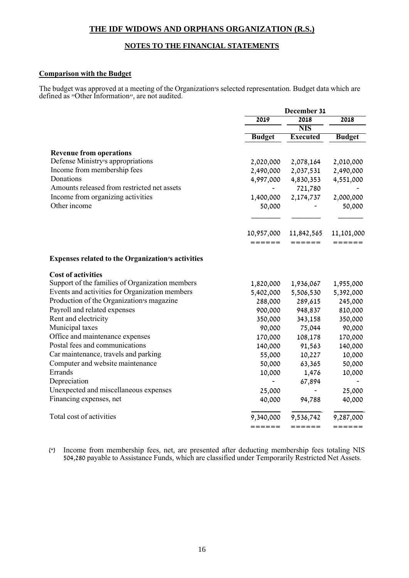#### **NOTES TO THE FINANCIAL STATEMENTS**

#### **Comparison with the Budget**

The budget was approved at a meeting of the Organization's selected representation. Budget data which are defined as "Other Information", are not audited.

|                                                          | December 31            |                          |                        |
|----------------------------------------------------------|------------------------|--------------------------|------------------------|
|                                                          | 2019                   | 2018                     | 2018                   |
|                                                          |                        | <b>NIS</b>               |                        |
|                                                          | <b>Budget</b>          | <b>Executed</b>          | <b>Budget</b>          |
| <b>Revenue from operations</b>                           |                        |                          |                        |
| Defense Ministry's appropriations                        |                        |                          |                        |
| Income from membership fees                              | 2,020,000<br>2,490,000 | 2,078,164<br>2,037,531   | 2,010,000<br>2,490,000 |
| Donations                                                | 4,997,000              |                          |                        |
| Amounts released from restricted net assets              |                        | 4,830,353                | 4,551,000              |
| Income from organizing activities                        |                        | 721,780<br>2,174,737     |                        |
| Other income                                             | 1,400,000              |                          | 2,000,000              |
|                                                          | 50,000                 |                          | 50,000                 |
|                                                          |                        |                          |                        |
|                                                          | 10,957,000             | 11,842,565               | 11,101,000             |
|                                                          | ------                 | ======                   | $= = = = = = =$        |
| <b>Expenses related to the Organization's activities</b> |                        |                          |                        |
| <b>Cost of activities</b>                                |                        |                          |                        |
| Support of the families of Organization members          | 1,820,000              | 1,936,067                | 1,955,000              |
| Events and activities for Organization members           | 5,402,000              | 5,506,530                | 5,392,000              |
| Production of the Organization's magazine                | 288,000                | 289,615                  | 245,000                |
| Payroll and related expenses                             | 900,000                | 948,837                  | 810,000                |
| Rent and electricity                                     | 350,000                | 343,158                  | 350,000                |
| Municipal taxes                                          | 90,000                 | 75,044                   | 90,000                 |
| Office and maintenance expenses                          | 170,000                | 108,178                  | 170,000                |
| Postal fees and communications                           | 140,000                | 91,563                   | 140,000                |
| Car maintenance, travels and parking                     | 55,000                 | 10,227                   | 10,000                 |
| Computer and website maintenance                         | 50,000                 | 63,365                   | 50,000                 |
| Errands                                                  | 10,000                 | 1,476                    | 10,000                 |
| Depreciation                                             |                        | 67,894                   |                        |
| Unexpected and miscellaneous expenses                    | 25,000                 | $\overline{\phantom{0}}$ | 25,000                 |
| Financing expenses, net                                  | 40,000                 | 94,788                   | 40,000                 |
| Total cost of activities                                 | 9,340,000              | 9,536,742                | 9,287,000              |
|                                                          | ======                 | ======                   | ======                 |

(\*) Income from membership fees, net, are presented after deducting membership fees totaling NIS 504,280 payable to Assistance Funds, which are classified under Temporarily Restricted Net Assets.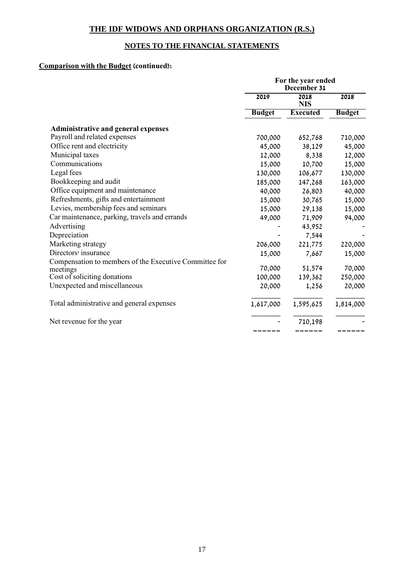## **NOTES TO THE FINANCIAL STATEMENTS**

## **Comparison with the Budget (continued):**

|                                                        | For the year ended<br>December 31 |                    |               |
|--------------------------------------------------------|-----------------------------------|--------------------|---------------|
|                                                        | 2019                              | 2018<br><b>NIS</b> | 2018          |
|                                                        | <b>Budget</b>                     | <b>Executed</b>    | <b>Budget</b> |
| <b>Administrative and general expenses</b>             |                                   |                    |               |
| Payroll and related expenses                           | 700,000                           | 652,768            | 710,000       |
| Office rent and electricity                            | 45,000                            | 38,129             | 45,000        |
| Municipal taxes                                        | 12,000                            | 8,338              | 12,000        |
| Communications                                         | 15,000                            | 10,700             | 15,000        |
| Legal fees                                             | 130,000                           | 106,677            | 130,000       |
| Bookkeeping and audit                                  | 185,000                           | 147,268            | 163,000       |
| Office equipment and maintenance                       | 40,000                            | 26,803             | 40,000        |
| Refreshments, gifts and entertainment                  | 15,000                            | 30,765             | 15,000        |
| Levies, membership fees and seminars                   | 15,000                            | 29,138             | 15,000        |
| Car maintenance, parking, travels and errands          | 49,000                            | 71,909             | 94,000        |
| Advertising                                            |                                   | 43,952             |               |
| Depreciation                                           |                                   | 7,544              |               |
| Marketing strategy                                     | 206,000                           | 221,775            | 220,000       |
| Directors' insurance                                   | 15,000                            | 7,667              | 15,000        |
| Compensation to members of the Executive Committee for |                                   |                    |               |
| meetings                                               | 70,000                            | 51,574             | 70,000        |
| Cost of soliciting donations                           | 100,000                           | 139,362            | 250,000       |
| Unexpected and miscellaneous                           | 20,000                            | 1,256              | 20,000        |
| Total administrative and general expenses              | 1,617,000                         | 1,595,625          | 1,814,000     |
| Net revenue for the year                               |                                   | 710,198            |               |
|                                                        | ======                            | ======             | ______        |